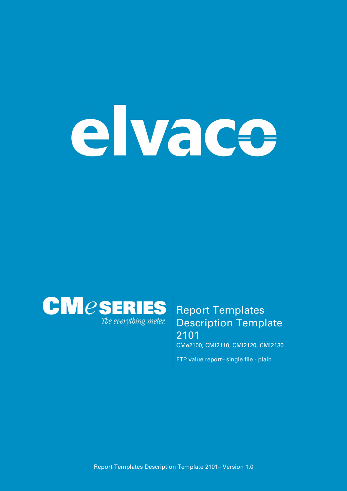# elvace



# **Report Templates Description Template 2101**

**CMe2100, CMi2110, CMi2120, CMi2130**

**FTP value report– single file - plain**

**Report Templates Description Template 2101– Version 1.0**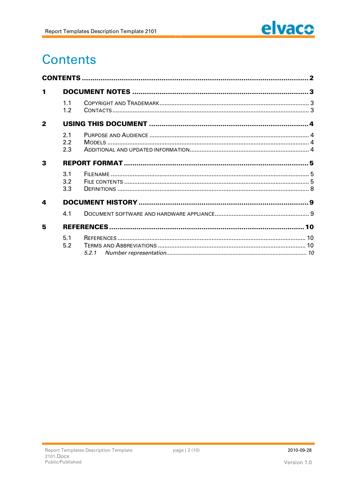

# **Contents**

| 1                       |                   |  |  |  |
|-------------------------|-------------------|--|--|--|
|                         | 1.1<br>1.2        |  |  |  |
| $\overline{\mathbf{2}}$ |                   |  |  |  |
|                         | 2.1<br>2.2<br>2.3 |  |  |  |
| 3                       |                   |  |  |  |
|                         | 3.1<br>3.2<br>3.3 |  |  |  |
| 4                       |                   |  |  |  |
|                         | 4.1               |  |  |  |
| 5                       |                   |  |  |  |
|                         | 5.1<br>5.2        |  |  |  |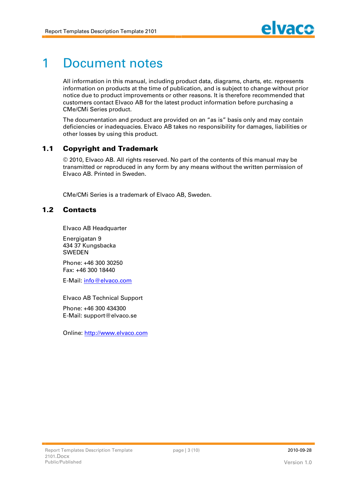# **1 Document notes**

**All information in this manual, including product data, diagrams, charts, etc. represents information on products at the time of publication, and is subject to change without prior notice due to product improvements or other reasons. It is therefore recommended that customers contact Elvaco AB for the latest product information before purchasing a CMe/CMi Series product.**

**The documentation and product are provided on an "as is" basis only and may contain deficiencies or inadequacies. Elvaco AB takes no responsibility for damages, liabilities or other losses by using this product.**

# **1.1 Copyright and Trademark**

**© 2010, Elvaco AB. All rights reserved. No part of the contents of this manual may be transmitted or reproduced in any form by any means without the written permission of Elvaco AB. Printed in Sweden.**

**CMe/CMi Series is a trademark of Elvaco AB, Sweden.**

## **1.2 Cont act s**

**Elvaco AB Headquarter**

**Energigatan 9 434 37 Kungsbacka SWEDEN**

**Phone: +46 300 30250 Fax: +46 300 18440**

**E-Mail: [info@elvaco.com](mailto:info@elvaco.com)**

**Elvaco AB Technical Support**

**Phone: +46 300 434300 E-Mail: [support@elvaco.se](mailto:support@elvaco.se)**

**Online: http://www.elvaco.com**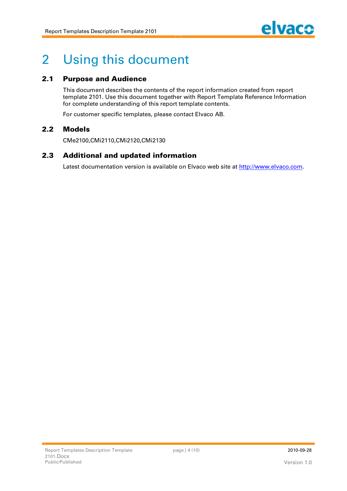

# **2 Using this document**

# **2.1 Purpose and Audience**

**This document describes the contents of the report information created from report template 2101. Use this document together with Report Template Reference Information for complete understanding of this report template contents.**

**For customer specific templates, please contact Elvaco AB.**

### **2.2 M odels**

**CMe2100,CMi2110,CMi2120,CMi2130**

### **2.3** Additional and updated information

**Latest documentation version is available on Elvaco web site at http://www.elvaco.com.**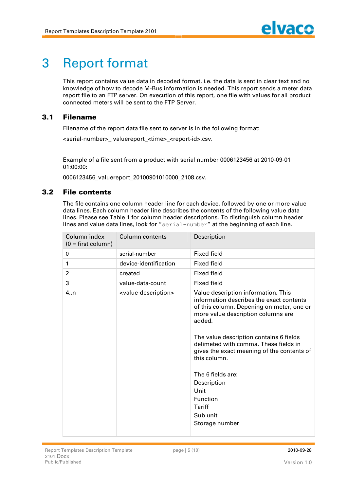# **3 Report format**

**This report contains value data in decoded format, i.e. the data is sent in clear text and no knowledge of how to decode M-Bus information is needed. This report sends a meter data report file to an FTP server. On execution of this report, one file with values for all product connected meters will be sent to the FTP Server.**

### **3.1 Filenam e**

**Filename of the report data file sent to server is in the following format:**

**<serial-number>\_ valuereport\_<time>\_<report-id>.csv.**

**Example of a file sent from a product with serial number 0006123456 at 2010-09-01 01:00:00:**

**0006123456\_valuereport\_20100901010000\_2108.csv.**

### **3.2 File contents**

**The file contains one column header line for each device, followed by one or more value data lines. Each column header line describes the contents of the following value data lines. Please see Table 1 for column header descriptions. To distinguish column header lines and value data lines, look for "**serial-number**" at the beginning of each line.**

| Column index<br>$(0 = first column)$ | Column contents                         | Description                                                                                                                                                                                                                                                                                                                                                                                                                                  |
|--------------------------------------|-----------------------------------------|----------------------------------------------------------------------------------------------------------------------------------------------------------------------------------------------------------------------------------------------------------------------------------------------------------------------------------------------------------------------------------------------------------------------------------------------|
| 0                                    | serial-number                           | Fixed field                                                                                                                                                                                                                                                                                                                                                                                                                                  |
| 1                                    | device-identification                   | Fixed field                                                                                                                                                                                                                                                                                                                                                                                                                                  |
| 2                                    | created                                 | <b>Fixed field</b>                                                                                                                                                                                                                                                                                                                                                                                                                           |
| 3                                    | value-data-count                        | <b>Fixed field</b>                                                                                                                                                                                                                                                                                                                                                                                                                           |
| 4n                                   | <value-description></value-description> | Value description information. This<br>information describes the exact contents<br>of this column. Depening on meter, one or<br>more value description columns are<br>added.<br>The value description contains 6 fields<br>delimeted with comma. These fields in<br>gives the exact meaning of the contents of<br>this column.<br>The 6 fields are:<br>Description<br>Unit<br><b>Function</b><br><b>Tariff</b><br>Sub unit<br>Storage number |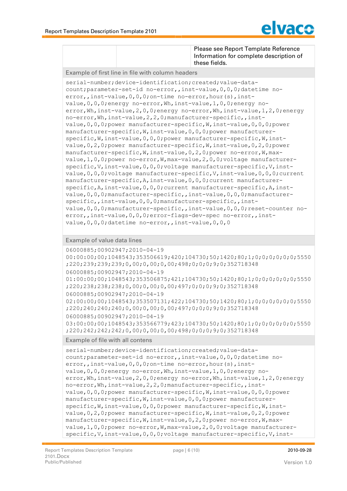

```
Please see Report Template Reference 
                                       Information for complete description of 
                                      these fields.
Example of first line in file with column headers
serial-number;device-identification;created;value-data-
count;parameter-set-id no-error,,inst-value,0,0,0;datetime no-
error,, inst-value, 0, 0, 0; on-time no-error, hour(s), inst-
value,0,0,0;energy no-error,Wh,inst-value,1,0,0;energy no-
error, Wh, inst-value, 2, 0, 0; energy no-error, Wh, inst-value, 1, 2, 0; energy
no-error,Wh,inst-value,2,2,0;manufacturer-specific,,inst-
value,0,0,0;power manufacturer-specific,W,inst-value,0,0,0;power 
manufacturer-specific,W,inst-value,0,0,0;power manufacturer-
specific, W, inst-value, 0, 0, 0; power manufacturer-specific, W, inst-
value,0,2,0;power manufacturer-specific,W,inst-value,0,2,0;power 
manufacturer-specific,W,inst-value,0,2,0;power no-error,W,max-
value,1,0,0;power no-error,W,max-value,2,0,0;voltage manufacturer-
specific, V, inst-value, 0, 0, 0; voltage manufacturer-specific, V, inst-
value,0,0,0;voltage manufacturer-specific,V,inst-value,0,0,0;current 
manufacturer-specific,A,inst-value,0,0,0;current manufacturer-
specific, A, inst-value, 0, 0, 0; current manufacturer-specific, A, inst-
value,0,0,0;manufacturer-specific,,inst-value,0,0,0;manufacturer-
specific,, inst-value, 0, 0, 0; manufacturer-specific,, inst-
value,0,0,0;manufacturer-specific,,inst-value,0,0,0;reset-counter no-
error,, inst-value, 0, 0, 0; error-flags-dev-spec no-error,, inst-
value, 0, 0, 0; datetime no-error,, inst-value, 0, 0, 0
Example of value data lines
06000885;00902947;2010-04-19 
00:00:00;00;1048543;353506619;420;104730;50;1420;80;1;0;0;0;0;0;0;5550
;220;239;239;239;0,00;0,00;0,00;498;0;0;0;9;0;352718348
06000885;00902947;2010-04-19 
01:00:00;00;1048543;353506875;421;104730;50;1420;80;1;0;0;0;0;0;0;5550
;220;238;238;238;0,00;0,00;0,00;497;0;0;0;9;0;352718348
06000885;00902947;2010-04-19 
02:00:00;00;1048543;353507131;422;104730;50;1420;80;1;0;0;0;0;0;0;5550
;220;240;240;240;0,00;0,00;0,00;497;0;0;0;9;0;352718348
06000885;00902947;2010-04-19 
03:00:00;00;1048543;353566779;423;104730;50;1420;80;1;0;0;0;0;0;0;5550
;220;242;242;242;0,00;0,00;0,00;498;0;0;0;9;0;352718348
Example of file with all contens
serial-number;device-identification;created;value-data-
count;parameter-set-id no-error,,inst-value,0,0,0;datetime no-
error,, inst-value, 0, 0, 0; on-time no-error, hour(s), inst-
value,0,0,0;energy no-error,Wh,inst-value,1,0,0;energy no-
error, Wh, inst-value, 2, 0, 0; energy no-error, Wh, inst-value, 1, 2, 0; energy
no-error,Wh,inst-value,2,2,0;manufacturer-specific,,inst-
value,0,0,0;power manufacturer-specific,W,inst-value,0,0,0;power 
manufacturer-specific,W,inst-value,0,0,0;power manufacturer-
specific, W, inst-value, 0, 0, 0; power manufacturer-specific, W, inst-
value,0,2,0;power manufacturer-specific,W,inst-value,0,2,0;power 
manufacturer-specific,W,inst-value,0,2,0;power no-error,W,max-
value,1,0,0;power no-error,W,max-value,2,0,0;voltage manufacturer-
specific, V, inst-value, 0, 0, 0; voltage manufacturer-specific, V, inst-
```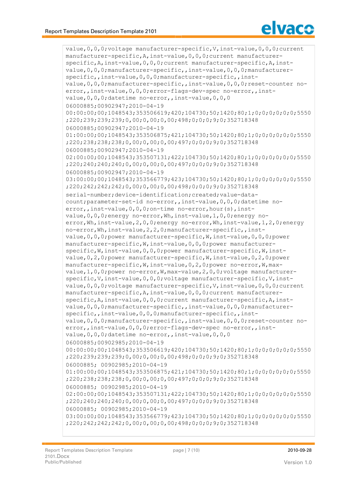

```
value,0,0,0;voltage manufacturer-specific,V,inst-value,0,0,0;current 
manufacturer-specific,A,inst-value,0,0,0;current manufacturer-
specific, A, inst-value, 0, 0, 0; current manufacturer-specific, A, inst-
value,0,0,0;manufacturer-specific,,inst-value,0,0,0;manufacturer-
specific,, inst-value, 0, 0, 0; manufacturer-specific,, inst-
value,0,0,0;manufacturer-specific,,inst-value,0,0,0;reset-counter no-
error,, inst-value, 0, 0, 0; error-flags-dev-spec no-error,, inst-
value, 0, 0, 0; datetime no-error,, inst-value, 0, 0, 0
06000885;00902947;2010-04-19 
00:00:00;00;1048543;353506619;420;104730;50;1420;80;1;0;0;0;0;0;0;5550
;220;239;239;239;0,00;0,00;0,00;498;0;0;0;9;0;352718348
06000885;00902947;2010-04-19 
01:00:00;00;1048543;353506875;421;104730;50;1420;80;1;0;0;0;0;0;0;5550
;220;238;238;238;0,00;0,00;0,00;497;0;0;0;9;0;352718348
06000885;00902947;2010-04-19 
02:00:00;00;1048543;353507131;422;104730;50;1420;80;1;0;0;0;0;0;0;5550
;220;240;240;240;0,00;0,00;0,00;497;0;0;0;9;0;352718348
06000885;00902947;2010-04-19 
03:00:00;00;1048543;353566779;423;104730;50;1420;80;1;0;0;0;0;0;0;5550
;220;242;242;242;0,00;0,00;0,00;498;0;0;0;9;0;352718348
serial-number;device-identification;created;value-data-
count;parameter-set-id no-error,,inst-value,0,0,0;datetime no-
error,, inst-value, 0, 0, 0; on-time no-error, hour(s), inst-
value,0,0,0;energy no-error,Wh,inst-value,1,0,0;energy no-
error, Wh, inst-value, 2, 0, 0; energy no-error, Wh, inst-value, 1, 2, 0; energy
no-error,Wh,inst-value,2,2,0;manufacturer-specific,,inst-
value,0,0,0;power manufacturer-specific,W,inst-value,0,0,0;power 
manufacturer-specific,W,inst-value,0,0,0;power manufacturer-
specific,W,inst-value,0,0,0;power manufacturer-specific,W,inst-
value,0,2,0;power manufacturer-specific,W,inst-value,0,2,0;power 
manufacturer-specific,W,inst-value,0,2,0;power no-error,W,max-
value,1,0,0;power no-error,W,max-value,2,0,0;voltage manufacturer-
specific, V, inst-value, 0, 0, 0; voltage manufacturer-specific, V, inst-
value,0,0,0;voltage manufacturer-specific,V,inst-value,0,0,0;current 
manufacturer-specific,A,inst-value,0,0,0;current manufacturer-
specific, A, inst-value, 0, 0, 0; current manufacturer-specific, A, inst-
value,0,0,0;manufacturer-specific,,inst-value,0,0,0;manufacturer-
specific,,inst-value, 0, 0,0;manufacturer-specific,,inst-
value,0,0,0;manufacturer-specific,,inst-value,0,0,0;reset-counter no-
error,,inst-value, 0, 0, 0; error-flags-dev-spec no-error,, inst-
value, 0, 0, 0; datetime no-error,, inst-value, 0, 0, 0
06000885;00902985;2010-04-19 
00:00:00;00;1048543;353506619;420;104730;50;1420;80;1;0;0;0;0;0;0;5550
;220;239;239;239;0,00;0,00;0,00;498;0;0;0;9;0;352718348
06000885; 00902985;2010-04-19 
01:00:00;00;1048543;353506875;421;104730;50;1420;80;1;0;0;0;0;0;0;5550
;220;238;238;238;0,00;0,00;0,00;497;0;0;0;9;0;352718348
06000885; 00902985;2010-04-19 
02:00:00;00;1048543;353507131;422;104730;50;1420;80;1;0;0;0;0;0;0;5550
;220;240;240;240;0,00;0,00;0,00;497;0;0;0;9;0;352718348
06000885; 00902985;2010-04-19 
03:00:00;00;1048543;353566779;423;104730;50;1420;80;1;0;0;0;0;0;0;5550
;220;242;242;242;0,00;0,00;0,00;498;0;0;0;9;0;352718348
```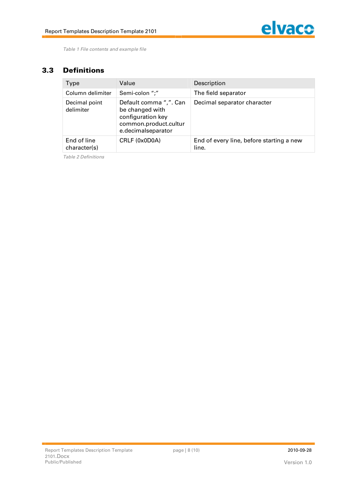

*Table 1 File contents and example file*

# **3.3 Definitions**

| <b>Type</b>                 | Value                                                                                                         | Description                                       |
|-----------------------------|---------------------------------------------------------------------------------------------------------------|---------------------------------------------------|
| Column delimiter            | Semi-colon ";"                                                                                                | The field separator                               |
| Decimal point<br>delimiter  | Default comma ",". Can<br>be changed with<br>configuration key<br>common.product.cultur<br>e.decimalseparator | Decimal separator character                       |
| End of line<br>character(s) | CRLF (0x0D0A)                                                                                                 | End of every line, before starting a new<br>line. |

*Table 2 Definitions*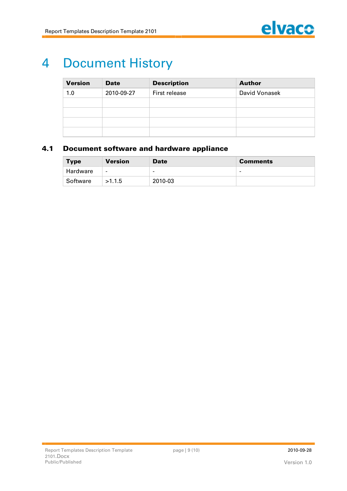

# **4 Document History**

| <b>Version</b> | <b>Date</b> | <b>Description</b> | <b>Author</b> |
|----------------|-------------|--------------------|---------------|
| 1.0            | 2010-09-27  | First release      | David Vonasek |
|                |             |                    |               |
|                |             |                    |               |
|                |             |                    |               |
|                |             |                    |               |

# **4.1 Document software and hardware appliance**

| <b>Type</b> | <b>Version</b>           | <b>Date</b>              | <b>Comments</b> |
|-------------|--------------------------|--------------------------|-----------------|
| Hardware    | $\overline{\phantom{0}}$ | $\overline{\phantom{a}}$ | -               |
| Software    | >1.1.5                   | 2010-03                  |                 |